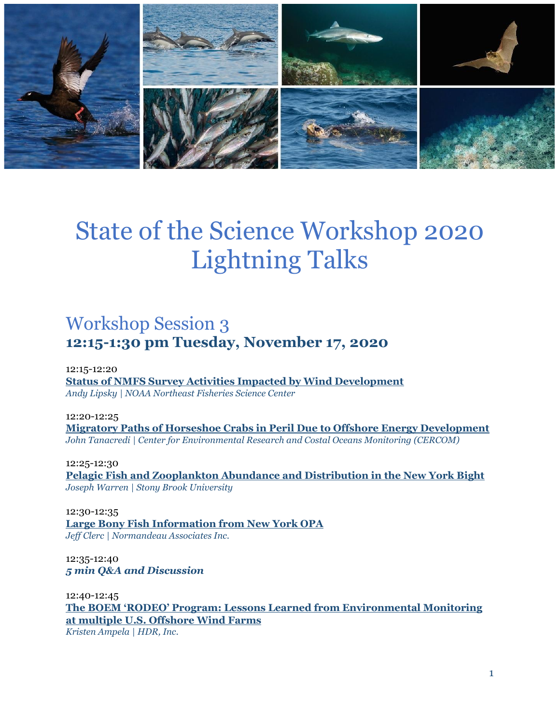

# State of the Science Workshop 2020 Lightning Talks

# Workshop Session 3 **12:15-1:30 pm Tuesday, November 17, 2020**

12:15-12:20 **[Status of NMFS Survey Activities Impacted by Wind Development](#page-7-0)** *Andy Lipsky | NOAA Northeast Fisheries Science Center*

12:20-12:25 **[Migratory Paths of Horseshoe Crabs in Peril Due to Offshore Energy Development](#page-12-0)** *John Tanacredi | Center for Environmental Research and Costal Oceans Monitoring (CERCOM)*

12:25-12:30 **[Pelagic Fish and Zooplankton Abundance and Distribution in the New York Bight](#page-13-0)** *Joseph Warren | Stony Brook University*

12:30-12:35 **[Large Bony Fish Information from New York OPA](#page-5-0)** *Jeff Clerc | Normandeau Associates Inc.*

12:35-12:40 *5 min Q&A and Discussion*

12:40-12:45 **The BOEM 'RODEO' [Program: Lessons Learned from Environmental Monitoring](#page-4-0)  [at multiple U.S. Offshore Wind Farms](#page-4-0)** *Kristen Ampela | HDR, Inc.*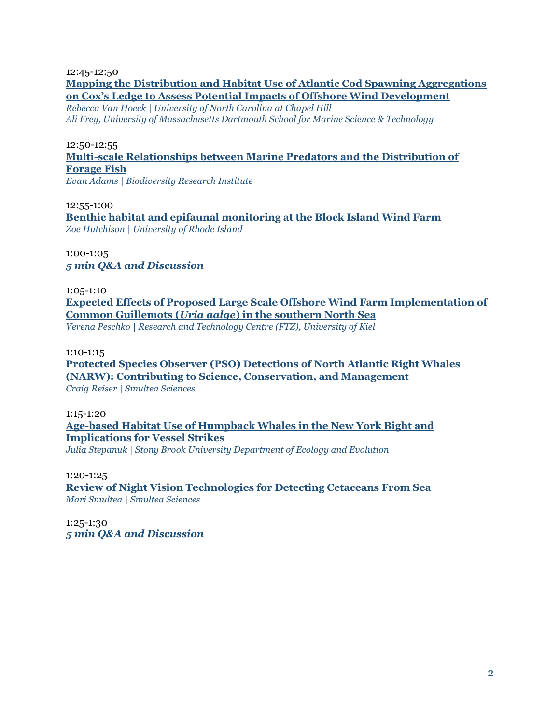12:45-12:50

#### **[Mapping the Distribution and Habitat Use of Atlantic Cod Spawning Aggregations](#page-12-1)  [on Cox's Ledge to Assess Potential Impacts of Offshore Wind Development](#page-12-1)**

*Rebecca Van Hoeck | University of North Carolina at Chapel Hill Ali Frey, University of Massachusetts Dartmouth School for Marine Science & Technology*

#### 12:50-12:55 **[Multi-scale Relationships between Marine Predators and the Distribution of](#page-4-1)  [Forage Fish](#page-4-1)**

*Evan Adams | Biodiversity Research Institute*

12:55-1:00 **[Benthic habitat and epifaunal monitoring at the Block Island Wind Farm](#page-7-1)** *Zoe Hutchison | University of Rhode Island*

1:00-1:05 *5 min Q&A and Discussion*

1:05-1:10 **[Expected Effects of Proposed Large Scale Offshore Wind Farm Implementation of](#page-8-0)  Common Guillemots (***Uria aalge***[\) in the southern North Sea](#page-8-0)** *Verena Peschko | Research and Technology Centre (FTZ), University of Kiel*

1:10-1:15

**[Protected Species Observer \(PSO\) Detections of North Atlantic Right Whales](#page-9-0)  [\(NARW\): Contributing to Science, Conservation, and Management](#page-9-0)** *Craig Reiser | Smultea Sciences*

1:15-1:20

**[Age-based Habitat Use of Humpback Whales in the New York Bight and](#page-11-0)  [Implications for Vessel Strikes](#page-11-0)** *Julia Stepanuk | Stony Brook University Department of Ecology and Evolution*

1:20-1:25

**[Review of Night Vision Technologies for Detecting Cetaceans](#page-10-0) From Sea** *Mari Smultea | Smultea Sciences*

1:25-1:30 *5 min Q&A and Discussion*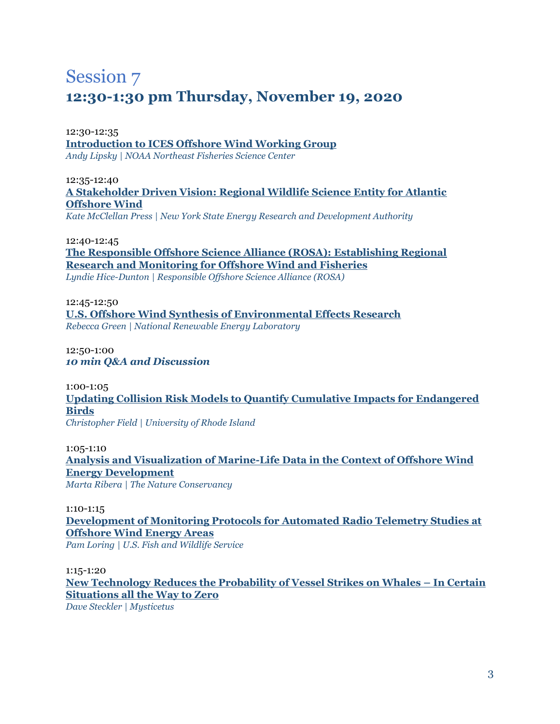# Session 7 **12:30-1:30 pm Thursday, November 19, 2020**

#### 12:30-12:35 **[Introduction to ICES Offshore Wind Working Group](#page-7-2)** *Andy Lipsky | NOAA Northeast Fisheries Science Center*

#### 12:35-12:40 **[A Stakeholder Driven Vision: Regional Wildlife Science Entity for Atlantic](#page-9-1)  [Offshore Wind](#page-9-1)**

*Kate McClellan Press | New York State Energy Research and Development Authority*

#### 12:40-12:45

**The Responsible Offshore Science Alliance (ROSA): [Establishing Regional](#page-6-0)  [Research and Monitoring for Offshore Wind and Fisheries](#page-6-0)** *Lyndie Hice-Dunton | Responsible Offshore Science Alliance (ROSA)*

12:45-12:50 **[U.S. Offshore Wind Synthesis of Environmental Effects Research](#page-6-1)** *Rebecca Green | National Renewable Energy Laboratory*

12:50-1:00 *10 min Q&A and Discussion*

1:00-1:05 **[Updating Collision Risk Models to Quantify Cumulative Impacts for Endangered](#page-5-1)  [Birds](#page-5-1)** *Christopher Field | University of Rhode Island*

1:05-1:10 **[Analysis and Visualization of Marine-Life Data in the Context of Offshore Wind](#page-10-1)  [Energy Development](#page-10-1)** *Marta Ribera | The Nature Conservancy*

1:10-1:15 **[Development of Monitoring Protocols for Automated Radio Telemetry Studies at](#page-8-1)  [Offshore Wind Energy Areas](#page-8-1)** *Pam Loring | U.S. Fish and Wildlife Service*

1:15-1:20 **[New Technology](#page-11-1) Reduces the Probability of Vessel Strikes on Whales – In Certain Situations all the Way to Zero**

*Dave Steckler | Mysticetus*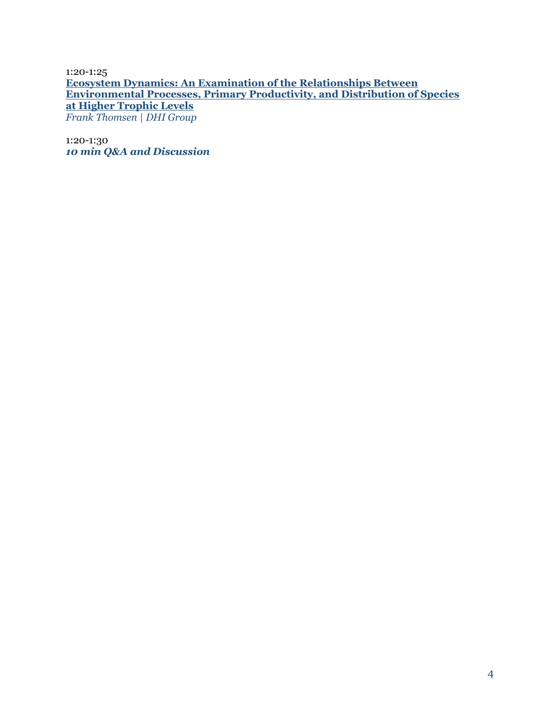1:20-1:25 **[Ecosystem Dynamics: An Examination of the](#page-12-2) Relationships Between [Environmental Processes, Primary Productivity, and Distribution](#page-12-2) of Species at Higher Trophic Levels** *Frank Thomsen | DHI Group*

1:20-1:30 *10 min Q&A and Discussion*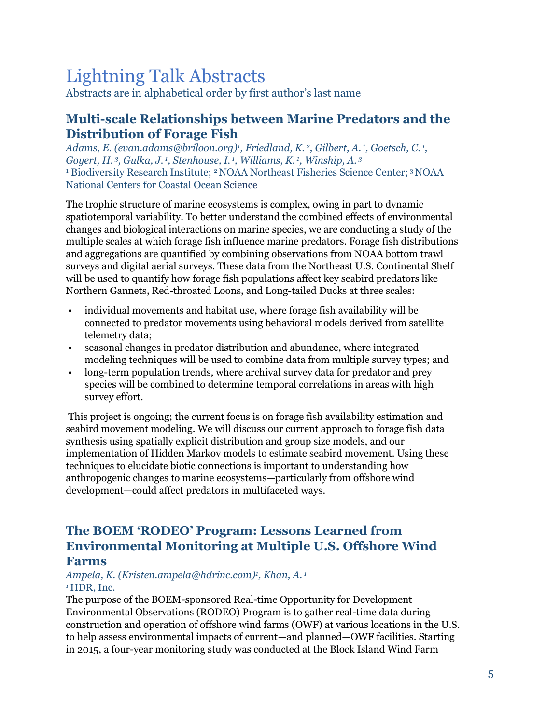# Lightning Talk Abstracts

Abstracts are in alphabetical order by first author's last name

# <span id="page-4-1"></span>**Multi-scale Relationships between Marine Predators and the Distribution of Forage Fish**

*Adams, E. (evan.adams@briloon.org)<sup>1</sup> , Friedland, K. <sup>2</sup> , Gilbert, A. <sup>1</sup> , Goetsch, C. <sup>1</sup> , Goyert, H. <sup>3</sup> , Gulka, J. <sup>1</sup> , Stenhouse, I. <sup>1</sup> , Williams, K. <sup>1</sup> , Winship, A. <sup>3</sup>* <sup>1</sup> Biodiversity Research Institute; <sup>2</sup> NOAA Northeast Fisheries Science Center; <sup>3</sup> NOAA National Centers for Coastal Ocean Science

The trophic structure of marine ecosystems is complex, owing in part to dynamic spatiotemporal variability. To better understand the combined effects of environmental changes and biological interactions on marine species, we are conducting a study of the multiple scales at which forage fish influence marine predators. Forage fish distributions and aggregations are quantified by combining observations from NOAA bottom trawl surveys and digital aerial surveys. These data from the Northeast U.S. Continental Shelf will be used to quantify how forage fish populations affect key seabird predators like Northern Gannets, Red-throated Loons, and Long-tailed Ducks at three scales:

- individual movements and habitat use, where forage fish availability will be connected to predator movements using behavioral models derived from satellite telemetry data;
- seasonal changes in predator distribution and abundance, where integrated modeling techniques will be used to combine data from multiple survey types; and
- long-term population trends, where archival survey data for predator and prey species will be combined to determine temporal correlations in areas with high survey effort.

This project is ongoing; the current focus is on forage fish availability estimation and seabird movement modeling. We will discuss our current approach to forage fish data synthesis using spatially explicit distribution and group size models, and our implementation of Hidden Markov models to estimate seabird movement. Using these techniques to elucidate biotic connections is important to understanding how anthropogenic changes to marine ecosystems—particularly from offshore wind development—could affect predators in multifaceted ways.

# <span id="page-4-0"></span>**The BOEM 'RODEO' Program: Lessons Learned from Environmental Monitoring at Multiple U.S. Offshore Wind Farms**

#### *Ampela, K. (Kristen.ampela@hdrinc.com)<sup>1</sup> , Khan, A. <sup>1</sup> <sup>1</sup>* HDR, Inc.

The purpose of the BOEM-sponsored Real-time Opportunity for Development Environmental Observations (RODEO) Program is to gather real-time data during construction and operation of offshore wind farms (OWF) at various locations in the U.S. to help assess environmental impacts of current—and planned—OWF facilities. Starting in 2015, a four-year monitoring study was conducted at the Block Island Wind Farm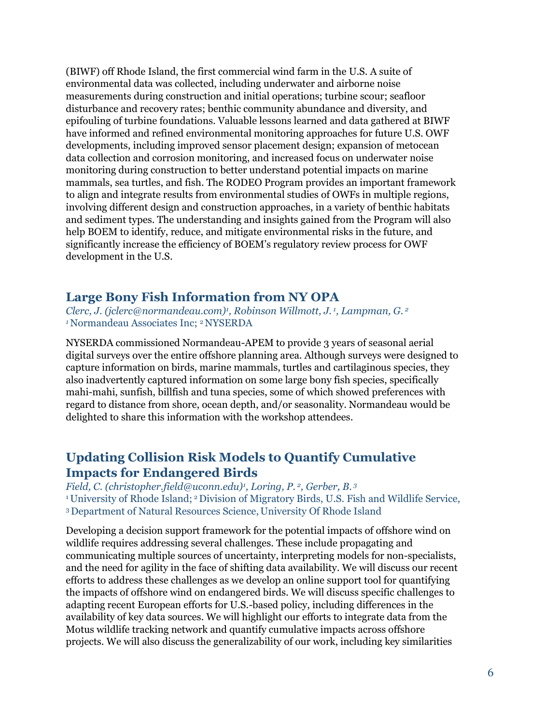(BIWF) off Rhode Island, the first commercial wind farm in the U.S. A suite of environmental data was collected, including underwater and airborne noise measurements during construction and initial operations; turbine scour; seafloor disturbance and recovery rates; benthic community abundance and diversity, and epifouling of turbine foundations. Valuable lessons learned and data gathered at BIWF have informed and refined environmental monitoring approaches for future U.S. OWF developments, including improved sensor placement design; expansion of metocean data collection and corrosion monitoring, and increased focus on underwater noise monitoring during construction to better understand potential impacts on marine mammals, sea turtles, and fish. The RODEO Program provides an important framework to align and integrate results from environmental studies of OWFs in multiple regions, involving different design and construction approaches, in a variety of benthic habitats and sediment types. The understanding and insights gained from the Program will also help BOEM to identify, reduce, and mitigate environmental risks in the future, and significantly increase the efficiency of BOEM's regulatory review process for OWF development in the U.S.

# <span id="page-5-0"></span>**Large Bony Fish Information from NY OPA**

*Clerc, J. (jclerc@normandeau.com)<sup>1</sup> , Robinson Willmott, J. <sup>1</sup> , Lampman, G. <sup>2</sup> <sup>1</sup>*Normandeau Associates Inc; 2 NYSERDA

NYSERDA commissioned Normandeau-APEM to provide 3 years of seasonal aerial digital surveys over the entire offshore planning area. Although surveys were designed to capture information on birds, marine mammals, turtles and cartilaginous species, they also inadvertently captured information on some large bony fish species, specifically mahi-mahi, sunfish, billfish and tuna species, some of which showed preferences with regard to distance from shore, ocean depth, and/or seasonality. Normandeau would be delighted to share this information with the workshop attendees.

# <span id="page-5-1"></span>**Updating Collision Risk Models to Quantify Cumulative Impacts for Endangered Birds**

*Field, C. (christopher.field@uconn.edu)<sup>1</sup> , Loring, P. <sup>2</sup> , Gerber, B. <sup>3</sup>* <sup>1</sup> University of Rhode Island; <sup>2</sup> Division of Migratory Birds, U.S. Fish and Wildlife Service, <sup>3</sup>Department of Natural Resources Science, University Of Rhode Island

Developing a decision support framework for the potential impacts of offshore wind on wildlife requires addressing several challenges. These include propagating and communicating multiple sources of uncertainty, interpreting models for non-specialists, and the need for agility in the face of shifting data availability. We will discuss our recent efforts to address these challenges as we develop an online support tool for quantifying the impacts of offshore wind on endangered birds. We will discuss specific challenges to adapting recent European efforts for U.S.-based policy, including differences in the availability of key data sources. We will highlight our efforts to integrate data from the Motus wildlife tracking network and quantify cumulative impacts across offshore projects. We will also discuss the generalizability of our work, including key similarities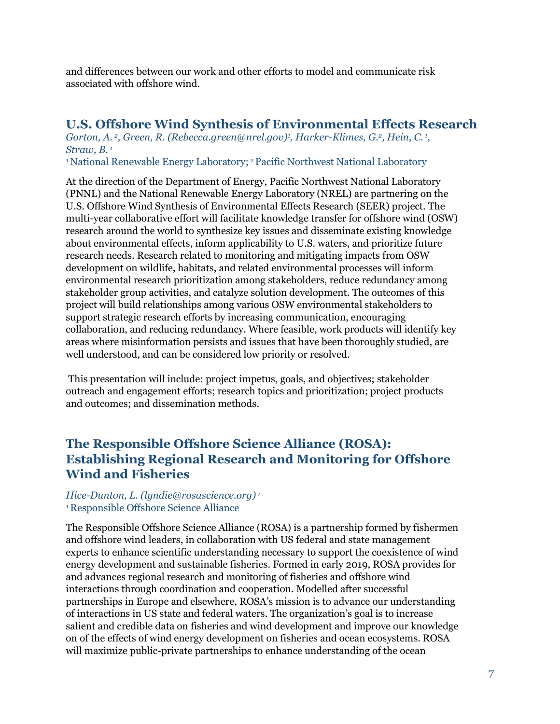and differences between our work and other efforts to model and communicate risk associated with offshore wind.

# <span id="page-6-1"></span>**U.S. Offshore Wind Synthesis of Environmental Effects Research**

*Gorton, A. <sup>2</sup> , Green, R. (Rebecca.green@nrel.gov)<sup>1</sup> , Harker-Klimes, G.<sup>2</sup> , Hein, C. <sup>1</sup> , Straw, B. <sup>1</sup>*

<sup>1</sup> National Renewable Energy Laboratory; <sup>2</sup> Pacific Northwest National Laboratory

At the direction of the Department of Energy, Pacific Northwest National Laboratory (PNNL) and the National Renewable Energy Laboratory (NREL) are partnering on the U.S. Offshore Wind Synthesis of Environmental Effects Research (SEER) project. The multi-year collaborative effort will facilitate knowledge transfer for offshore wind (OSW) research around the world to synthesize key issues and disseminate existing knowledge about environmental effects, inform applicability to U.S. waters, and prioritize future research needs. Research related to monitoring and mitigating impacts from OSW development on wildlife, habitats, and related environmental processes will inform environmental research prioritization among stakeholders, reduce redundancy among stakeholder group activities, and catalyze solution development. The outcomes of this project will build relationships among various OSW environmental stakeholders to support strategic research efforts by increasing communication, encouraging collaboration, and reducing redundancy. Where feasible, work products will identify key areas where misinformation persists and issues that have been thoroughly studied, are well understood, and can be considered low priority or resolved.

<span id="page-6-0"></span>This presentation will include: project impetus, goals, and objectives; stakeholder outreach and engagement efforts; research topics and prioritization; project products and outcomes; and dissemination methods.

# **The Responsible Offshore Science Alliance (ROSA): Establishing Regional Research and Monitoring for Offshore Wind and Fisheries**

#### *Hice-Dunton, L. (lyndie@rosascience.org) 1* <sup>1</sup>Responsible Offshore Science Alliance

The Responsible Offshore Science Alliance (ROSA) is a partnership formed by fishermen and offshore wind leaders, in collaboration with US federal and state management experts to enhance scientific understanding necessary to support the coexistence of wind energy development and sustainable fisheries. Formed in early 2019, ROSA provides for and advances regional research and monitoring of fisheries and offshore wind interactions through coordination and cooperation. Modelled after successful partnerships in Europe and elsewhere, ROSA's mission is to advance our understanding of interactions in US state and federal waters. The organization's goal is to increase salient and credible data on fisheries and wind development and improve our knowledge on of the effects of wind energy development on fisheries and ocean ecosystems. ROSA will maximize public-private partnerships to enhance understanding of the ocean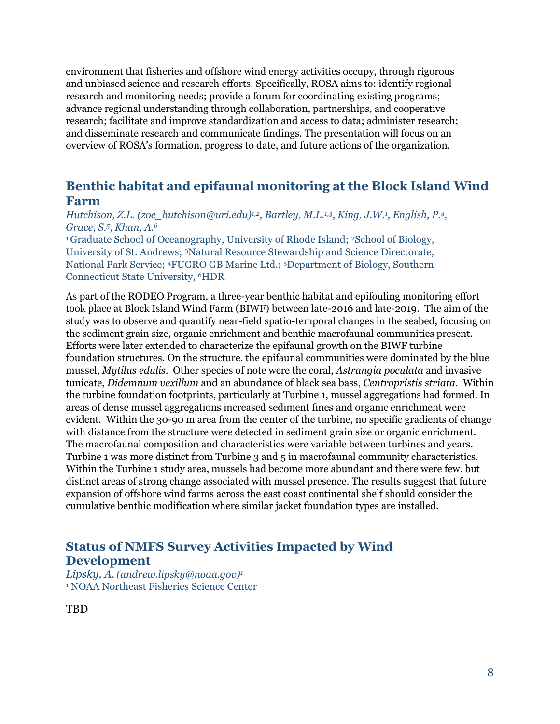environment that fisheries and offshore wind energy activities occupy, through rigorous and unbiased science and research efforts. Specifically, ROSA aims to: identify regional research and monitoring needs; provide a forum for coordinating existing programs; advance regional understanding through collaboration, partnerships, and cooperative research; facilitate and improve standardization and access to data; administer research; and disseminate research and communicate findings. The presentation will focus on an overview of ROSA's formation, progress to date, and future actions of the organization.

# <span id="page-7-1"></span><span id="page-7-0"></span>**Benthic habitat and epifaunal monitoring at the Block Island Wind Farm**

*Hutchison, Z.L. (zoe\_hutchison@uri.edu)1,2, Bartley, M.L.1,3, King, J.W.<sup>1</sup> , English, P.<sup>4</sup> , Grace, S.<sup>5</sup> , Khan, A.<sup>6</sup>*

<sup>1</sup>Graduate School of Oceanography, University of Rhode Island; <sup>2</sup>School of Biology, University of St. Andrews; 3Natural Resource Stewardship and Science Directorate, National Park Service; 4FUGRO GB Marine Ltd.; 5Department of Biology, Southern Connecticut State University, 6HDR

As part of the RODEO Program, a three-year benthic habitat and epifouling monitoring effort took place at Block Island Wind Farm (BIWF) between late-2016 and late-2019. The aim of the study was to observe and quantify near-field spatio-temporal changes in the seabed, focusing on the sediment grain size, organic enrichment and benthic macrofaunal communities present. Efforts were later extended to characterize the epifaunal growth on the BIWF turbine foundation structures. On the structure, the epifaunal communities were dominated by the blue mussel, *Mytilus edulis*. Other species of note were the coral, *Astrangia poculata* and invasive tunicate, *Didemnum vexillum* and an abundance of black sea bass, *Centropristis striata.* Within the turbine foundation footprints, particularly at Turbine 1, mussel aggregations had formed. In areas of dense mussel aggregations increased sediment fines and organic enrichment were evident. Within the 30-90 m area from the center of the turbine, no specific gradients of change with distance from the structure were detected in sediment grain size or organic enrichment. The macrofaunal composition and characteristics were variable between turbines and years. Turbine 1 was more distinct from Turbine 3 and 5 in macrofaunal community characteristics. Within the Turbine 1 study area, mussels had become more abundant and there were few, but distinct areas of strong change associated with mussel presence. The results suggest that future expansion of offshore wind farms across the east coast continental shelf should consider the cumulative benthic modification where similar jacket foundation types are installed.

# **Status of NMFS Survey Activities Impacted by Wind Development**

*Lipsky, A.(andrew.lipsky@noaa.gov)<sup>1</sup>* <sup>1</sup>NOAA Northeast Fisheries Science Center

<span id="page-7-2"></span>TBD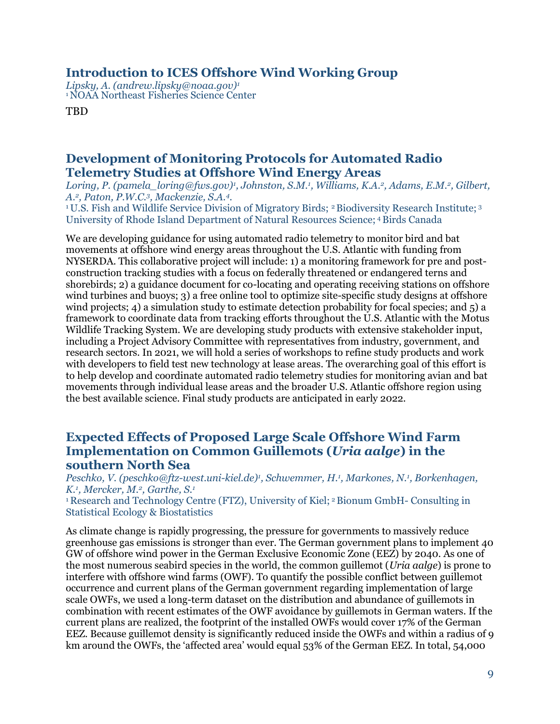#### **Introduction to ICES Offshore Wind Working Group**

*Lipsky, A. (andrew.lipsky@noaa.gov)<sup>1</sup>* <sup>1</sup>NOAA Northeast Fisheries Science Center

<span id="page-8-1"></span>**TBD** 

# **Development of Monitoring Protocols for Automated Radio Telemetry Studies at Offshore Wind Energy Areas**

*Loring, P. (pamela\_loring@fws.gov)<sup>1</sup> , Johnston, S.M.<sup>1</sup> , Williams, K.A.<sup>2</sup> , Adams, E.M.<sup>2</sup> , Gilbert, A.<sup>2</sup> , Paton, P.W.C.<sup>3</sup> , Mackenzie, S.A.<sup>4</sup> .* 

<sup>1</sup>U.S. Fish and Wildlife Service Division of Migratory Birds; <sup>2</sup> Biodiversity Research Institute; <sup>3</sup> University of Rhode Island Department of Natural Resources Science; <sup>4</sup>Birds Canada

We are developing guidance for using automated radio telemetry to monitor bird and bat movements at offshore wind energy areas throughout the U.S. Atlantic with funding from NYSERDA. This collaborative project will include: 1) a monitoring framework for pre and postconstruction tracking studies with a focus on federally threatened or endangered terns and shorebirds; 2) a guidance document for co-locating and operating receiving stations on offshore wind turbines and buoys; 3) a free online tool to optimize site-specific study designs at offshore wind projects; 4) a simulation study to estimate detection probability for focal species; and 5) a framework to coordinate data from tracking efforts throughout the U.S. Atlantic with the Motus Wildlife Tracking System. We are developing study products with extensive stakeholder input, including a Project Advisory Committee with representatives from industry, government, and research sectors. In 2021, we will hold a series of workshops to refine study products and work with developers to field test new technology at lease areas. The overarching goal of this effort is to help develop and coordinate automated radio telemetry studies for monitoring avian and bat movements through individual lease areas and the broader U.S. Atlantic offshore region using the best available science. Final study products are anticipated in early 2022.

#### <span id="page-8-0"></span>**Expected Effects of Proposed Large Scale Offshore Wind Farm Implementation on Common Guillemots (***Uria aalge***) in the southern North Sea**

*Peschko, V. (peschko@ftz-west.uni-kiel.de)<sup>1</sup> , Schwemmer, H.<sup>1</sup> , Markones, N.<sup>1</sup> , Borkenhagen, K.<sup>1</sup> , Mercker, M.<sup>2</sup> , Garthe, S.<sup>1</sup>*

<sup>1</sup>Research and Technology Centre (FTZ), University of Kiel; <sup>2</sup>Bionum GmbH- Consulting in Statistical Ecology & Biostatistics

As climate change is rapidly progressing, the pressure for governments to massively reduce greenhouse gas emissions is stronger than ever. The German government plans to implement 40 GW of offshore wind power in the German Exclusive Economic Zone (EEZ) by 2040. As one of the most numerous seabird species in the world, the common guillemot (*Uria aalge*) is prone to interfere with offshore wind farms (OWF). To quantify the possible conflict between guillemot occurrence and current plans of the German government regarding implementation of large scale OWFs, we used a long-term dataset on the distribution and abundance of guillemots in combination with recent estimates of the OWF avoidance by guillemots in German waters. If the current plans are realized, the footprint of the installed OWFs would cover 17% of the German EEZ. Because guillemot density is significantly reduced inside the OWFs and within a radius of 9 km around the OWFs, the 'affected area' would equal 53% of the German EEZ. In total, 54,000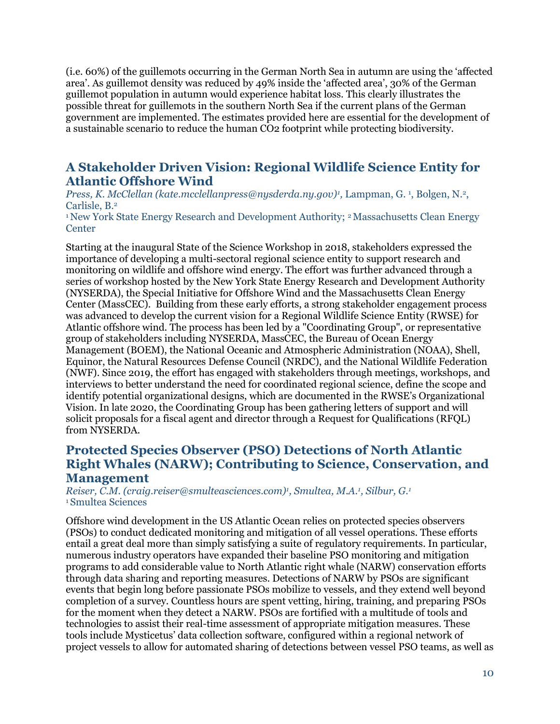(i.e. 60%) of the guillemots occurring in the German North Sea in autumn are using the 'affected area'. As guillemot density was reduced by 49% inside the 'affected area', 30% of the German guillemot population in autumn would experience habitat loss. This clearly illustrates the possible threat for guillemots in the southern North Sea if the current plans of the German government are implemented. The estimates provided here are essential for the development of a sustainable scenario to reduce the human CO2 footprint while protecting biodiversity.

# <span id="page-9-1"></span>**A Stakeholder Driven Vision: Regional Wildlife Science Entity for Atlantic Offshore Wind**

Press, K. McClellan (kate.mcclellanpress@nysderda.ny.gov)<sup>*1*</sup>, Lampman, G.<sup>1</sup>, Bolgen, N.<sup>2</sup>, Carlisle, B.<sup>2</sup>

<sup>1</sup>New York State Energy Research and Development Authority; <sup>2</sup> Massachusetts Clean Energy **Center** 

Starting at the inaugural State of the Science Workshop in 2018, stakeholders expressed the importance of developing a multi-sectoral regional science entity to support research and monitoring on wildlife and offshore wind energy. The effort was further advanced through a series of workshop hosted by the New York State Energy Research and Development Authority (NYSERDA), the Special Initiative for Offshore Wind and the Massachusetts Clean Energy Center (MassCEC). Building from these early efforts, a strong stakeholder engagement process was advanced to develop the current vision for a Regional Wildlife Science Entity (RWSE) for Atlantic offshore wind. The process has been led by a "Coordinating Group", or representative group of stakeholders including NYSERDA, MassCEC, the Bureau of Ocean Energy Management (BOEM), the National Oceanic and Atmospheric Administration (NOAA), Shell, Equinor, the Natural Resources Defense Council (NRDC), and the National Wildlife Federation (NWF). Since 2019, the effort has engaged with stakeholders through meetings, workshops, and interviews to better understand the need for coordinated regional science, define the scope and identify potential organizational designs, which are documented in the RWSE's Organizational Vision. In late 2020, the Coordinating Group has been gathering letters of support and will solicit proposals for a fiscal agent and director through a Request for Qualifications (RFQL) from NYSERDA.

### <span id="page-9-0"></span>**Protected Species Observer (PSO) Detections of North Atlantic Right Whales (NARW); Contributing to Science, Conservation, and Management**

*Reiser, C.M. (craig.reiser@smulteasciences.com)<sup>1</sup> , Smultea, M.A.<sup>1</sup> , Silbur, G.<sup>1</sup>* <sup>1</sup>Smultea Sciences

Offshore wind development in the US Atlantic Ocean relies on protected species observers (PSOs) to conduct dedicated monitoring and mitigation of all vessel operations. These efforts entail a great deal more than simply satisfying a suite of regulatory requirements. In particular, numerous industry operators have expanded their baseline PSO monitoring and mitigation programs to add considerable value to North Atlantic right whale (NARW) conservation efforts through data sharing and reporting measures. Detections of NARW by PSOs are significant events that begin long before passionate PSOs mobilize to vessels, and they extend well beyond completion of a survey. Countless hours are spent vetting, hiring, training, and preparing PSOs for the moment when they detect a NARW. PSOs are fortified with a multitude of tools and technologies to assist their real-time assessment of appropriate mitigation measures. These tools include Mysticetus' data collection software, configured within a regional network of project vessels to allow for automated sharing of detections between vessel PSO teams, as well as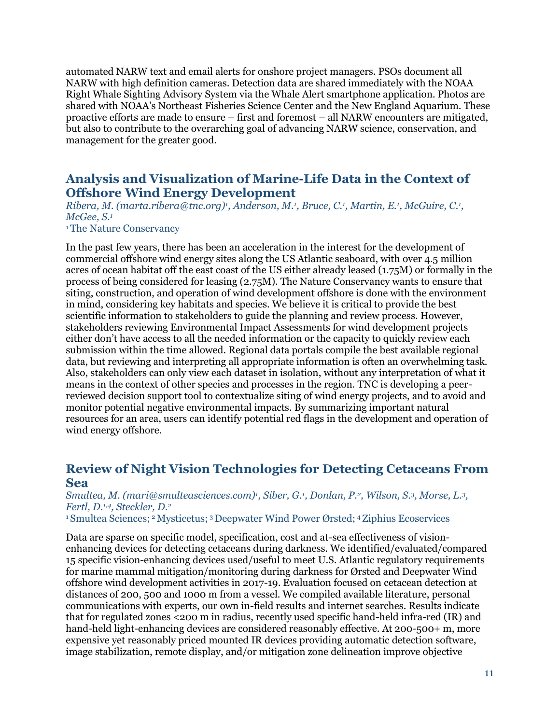automated NARW text and email alerts for onshore project managers. PSOs document all NARW with high definition cameras. Detection data are shared immediately with the NOAA Right Whale Sighting Advisory System via the Whale Alert smartphone application. Photos are shared with NOAA's Northeast Fisheries Science Center and the New England Aquarium. These proactive efforts are made to ensure – first and foremost – all NARW encounters are mitigated, but also to contribute to the overarching goal of advancing NARW science, conservation, and management for the greater good.

### <span id="page-10-1"></span>**Analysis and Visualization of Marine-Life Data in the Context of Offshore Wind Energy Development**

*Ribera, M. (marta.ribera@tnc.org)<sup><i>i*</sup>, Anderson, M.<sup>*i*</sup>, Bruce, C.<sup>*i*</sup>, Martin, E.<sup>*i*</sup>, McGuire, C.<sup>*i*</sup>, *McGee, S.<sup>1</sup>*

#### <sup>1</sup>The Nature Conservancy

In the past few years, there has been an acceleration in the interest for the development of commercial offshore wind energy sites along the US Atlantic seaboard, with over 4.5 million acres of ocean habitat off the east coast of the US either already leased (1.75M) or formally in the process of being considered for leasing (2.75M). The Nature Conservancy wants to ensure that siting, construction, and operation of wind development offshore is done with the environment in mind, considering key habitats and species. We believe it is critical to provide the best scientific information to stakeholders to guide the planning and review process. However, stakeholders reviewing Environmental Impact Assessments for wind development projects either don't have access to all the needed information or the capacity to quickly review each submission within the time allowed. Regional data portals compile the best available regional data, but reviewing and interpreting all appropriate information is often an overwhelming task. Also, stakeholders can only view each dataset in isolation, without any interpretation of what it means in the context of other species and processes in the region. TNC is developing a peerreviewed decision support tool to contextualize siting of wind energy projects, and to avoid and monitor potential negative environmental impacts. By summarizing important natural resources for an area, users can identify potential red flags in the development and operation of wind energy offshore.

#### <span id="page-10-0"></span>**Review of Night Vision Technologies for Detecting Cetaceans From Sea**

#### *Smultea, M. (mari@smulteasciences.com)<sup>1</sup> , Siber, G.<sup>1</sup> , Donlan, P.<sup>2</sup> , Wilson, S.<sup>3</sup> , Morse, L.<sup>3</sup> , Fertl, D.1,4, Steckler, D.<sup>2</sup>*

<sup>1</sup>Smultea Sciences; <sup>2</sup>Mysticetus; <sup>3</sup>Deepwater Wind Power Ørsted; <sup>4</sup>Ziphius Ecoservices

Data are sparse on specific model, specification, cost and at-sea effectiveness of visionenhancing devices for detecting cetaceans during darkness. We identified/evaluated/compared 15 specific vision-enhancing devices used/useful to meet U.S. Atlantic regulatory requirements for marine mammal mitigation/monitoring during darkness for Ørsted and Deepwater Wind offshore wind development activities in 2017-19. Evaluation focused on cetacean detection at distances of 200, 500 and 1000 m from a vessel. We compiled available literature, personal communications with experts, our own in-field results and internet searches. Results indicate that for regulated zones <200 m in radius, recently used specific hand-held infra-red (IR) and hand-held light-enhancing devices are considered reasonably effective. At 200-500+ m, more expensive yet reasonably priced mounted IR devices providing automatic detection software, image stabilization, remote display, and/or mitigation zone delineation improve objective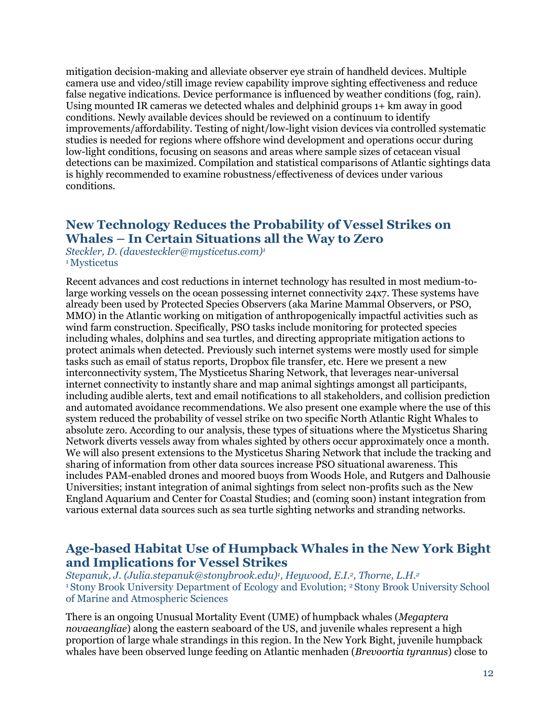mitigation decision-making and alleviate observer eye strain of handheld devices. Multiple camera use and video/still image review capability improve sighting effectiveness and reduce false negative indications. Device performance is influenced by weather conditions (fog, rain). Using mounted IR cameras we detected whales and delphinid groups 1+ km away in good conditions. Newly available devices should be reviewed on a continuum to identify improvements/affordability. Testing of night/low-light vision devices via controlled systematic studies is needed for regions where offshore wind development and operations occur during low-light conditions, focusing on seasons and areas where sample sizes of cetacean visual detections can be maximized. Compilation and statistical comparisons of Atlantic sightings data is highly recommended to examine robustness/effectiveness of devices under various conditions.

#### <span id="page-11-1"></span>**New Technology Reduces the Probability of Vessel Strikes on Whales – In Certain Situations all the Way to Zero**

*Steckler, D. (davesteckler@mysticetus.com)<sup>1</sup>* <sup>1</sup>Mysticetus

Recent advances and cost reductions in internet technology has resulted in most medium-tolarge working vessels on the ocean possessing internet connectivity 24x7. These systems have already been used by Protected Species Observers (aka Marine Mammal Observers, or PSO, MMO) in the Atlantic working on mitigation of anthropogenically impactful activities such as wind farm construction. Specifically, PSO tasks include monitoring for protected species including whales, dolphins and sea turtles, and directing appropriate mitigation actions to protect animals when detected. Previously such internet systems were mostly used for simple tasks such as email of status reports, Dropbox file transfer, etc. Here we present a new interconnectivity system, The Mysticetus Sharing Network, that leverages near-universal internet connectivity to instantly share and map animal sightings amongst all participants, including audible alerts, text and email notifications to all stakeholders, and collision prediction and automated avoidance recommendations. We also present one example where the use of this system reduced the probability of vessel strike on two specific North Atlantic Right Whales to absolute zero. According to our analysis, these types of situations where the Mysticetus Sharing Network diverts vessels away from whales sighted by others occur approximately once a month. We will also present extensions to the Mysticetus Sharing Network that include the tracking and sharing of information from other data sources increase PSO situational awareness. This includes PAM-enabled drones and moored buoys from Woods Hole, and Rutgers and Dalhousie Universities; instant integration of animal sightings from select non-profits such as the New England Aquarium and Center for Coastal Studies; and (coming soon) instant integration from various external data sources such as sea turtle sighting networks and stranding networks.

# <span id="page-11-0"></span>**Age-based Habitat Use of Humpback Whales in the New York Bight and Implications for Vessel Strikes**

*Stepanuk, J. (Julia.stepanuk@stonybrook.edu)<sup>1</sup> , Heywood, E.I.<sup>2</sup> , Thorne, L.H.<sup>2</sup>* <sup>1</sup>Stony Brook University Department of Ecology and Evolution; 2 Stony Brook University School of Marine and Atmospheric Sciences

There is an ongoing Unusual Mortality Event (UME) of humpback whales (*Megaptera novaeangliae*) along the eastern seaboard of the US, and juvenile whales represent a high proportion of large whale strandings in this region. In the New York Bight, juvenile humpback whales have been observed lunge feeding on Atlantic menhaden (*Brevoortia tyrannus*) close to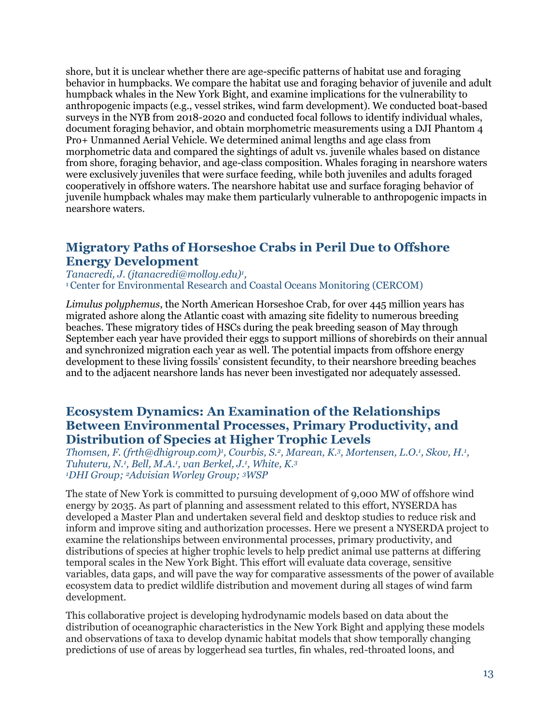shore, but it is unclear whether there are age-specific patterns of habitat use and foraging behavior in humpbacks. We compare the habitat use and foraging behavior of juvenile and adult humpback whales in the New York Bight, and examine implications for the vulnerability to anthropogenic impacts (e.g., vessel strikes, wind farm development). We conducted boat-based surveys in the NYB from 2018-2020 and conducted focal follows to identify individual whales, document foraging behavior, and obtain morphometric measurements using a DJI Phantom 4 Pro+ Unmanned Aerial Vehicle. We determined animal lengths and age class from morphometric data and compared the sightings of adult vs. juvenile whales based on distance from shore, foraging behavior, and age-class composition. Whales foraging in nearshore waters were exclusively juveniles that were surface feeding, while both juveniles and adults foraged cooperatively in offshore waters. The nearshore habitat use and surface foraging behavior of juvenile humpback whales may make them particularly vulnerable to anthropogenic impacts in nearshore waters.

# <span id="page-12-0"></span>**Migratory Paths of Horseshoe Crabs in Peril Due to Offshore Energy Development**

*Tanacredi, J. (jtanacredi@molloy.edu)<sup>1</sup> ,*  <sup>1</sup>Center for Environmental Research and Coastal Oceans Monitoring (CERCOM)

*Limulus polyphemus*, the North American Horseshoe Crab, for over 445 million years has migrated ashore along the Atlantic coast with amazing site fidelity to numerous breeding beaches. These migratory tides of HSCs during the peak breeding season of May through September each year have provided their eggs to support millions of shorebirds on their annual and synchronized migration each year as well. The potential impacts from offshore energy development to these living fossils' consistent fecundity, to their nearshore breeding beaches and to the adjacent nearshore lands has never been investigated nor adequately assessed.

#### <span id="page-12-2"></span><span id="page-12-1"></span>**Ecosystem Dynamics: An Examination of the Relationships Between Environmental Processes, Primary Productivity, and Distribution of Species at Higher Trophic Levels**

*Thomsen, F. (frth@dhigroup.com)<sup><i>i*</sup>, Courbis, S.<sup>2</sup>, Marean, K.<sup>3</sup>, Mortensen, L.O.<sup>*i*</sup>, Skov, H.<sup>*i*</sup>, *Tuhuteru, N.<sup>1</sup> , Bell, M.A.<sup>1</sup> , van Berkel, J.<sup>1</sup> , White, K.<sup>3</sup> <sup>1</sup>DHI Group; 2Advisian Worley Group; 3WSP*

The state of New York is committed to pursuing development of 9,000 MW of offshore wind energy by 2035. As part of planning and assessment related to this effort, NYSERDA has developed a Master Plan and undertaken several field and desktop studies to reduce risk and inform and improve siting and authorization processes. Here we present a NYSERDA project to examine the relationships between environmental processes, primary productivity, and distributions of species at higher trophic levels to help predict animal use patterns at differing temporal scales in the New York Bight. This effort will evaluate data coverage, sensitive variables, data gaps, and will pave the way for comparative assessments of the power of available ecosystem data to predict wildlife distribution and movement during all stages of wind farm development.

This collaborative project is developing hydrodynamic models based on data about the distribution of oceanographic characteristics in the New York Bight and applying these models and observations of taxa to develop dynamic habitat models that show temporally changing predictions of use of areas by loggerhead sea turtles, fin whales, red-throated loons, and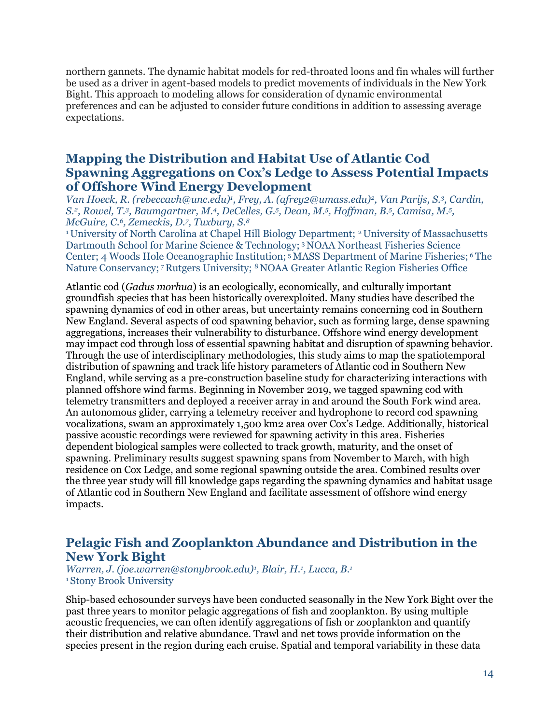northern gannets. The dynamic habitat models for red-throated loons and fin whales will further be used as a driver in agent-based models to predict movements of individuals in the New York Bight. This approach to modeling allows for consideration of dynamic environmental preferences and can be adjusted to consider future conditions in addition to assessing average expectations.

# **Mapping the Distribution and Habitat Use of Atlantic Cod Spawning Aggregations on Cox's Ledge to Assess Potential Impacts of Offshore Wind Energy Development**

*Van Hoeck, R. (rebeccavh@unc.edu)<sup>1</sup> , Frey, A. (afrey2@umass.edu)<sup>2</sup> , Van Parijs, S.<sup>3</sup> , Cardin, S.<sup>2</sup> , Rowel, T.<sup>3</sup> , Baumgartner, M.<sup>4</sup> , DeCelles, G.<sup>5</sup> , Dean, M.<sup>5</sup> , Hoffman, B.<sup>5</sup> , Camisa, M.<sup>5</sup> , McGuire, C.<sup>6</sup> , Zemeckis, D.<sup>7</sup> , Tuxbury, S.<sup>8</sup>*

<sup>1</sup>University of North Carolina at Chapel Hill Biology Department; 2 University of Massachusetts Dartmouth School for Marine Science & Technology; <sup>3</sup>NOAA Northeast Fisheries Science Center; 4 Woods Hole Oceanographic Institution; <sup>5</sup> MASS Department of Marine Fisheries; <sup>6</sup> The Nature Conservancy; <sup>7</sup>Rutgers University; <sup>8</sup> NOAA Greater Atlantic Region Fisheries Office

Atlantic cod (*Gadus morhua*) is an ecologically, economically, and culturally important groundfish species that has been historically overexploited. Many studies have described the spawning dynamics of cod in other areas, but uncertainty remains concerning cod in Southern New England. Several aspects of cod spawning behavior, such as forming large, dense spawning aggregations, increases their vulnerability to disturbance. Offshore wind energy development may impact cod through loss of essential spawning habitat and disruption of spawning behavior. Through the use of interdisciplinary methodologies, this study aims to map the spatiotemporal distribution of spawning and track life history parameters of Atlantic cod in Southern New England, while serving as a pre-construction baseline study for characterizing interactions with planned offshore wind farms. Beginning in November 2019, we tagged spawning cod with telemetry transmitters and deployed a receiver array in and around the South Fork wind area. An autonomous glider, carrying a telemetry receiver and hydrophone to record cod spawning vocalizations, swam an approximately 1,500 km2 area over Cox's Ledge. Additionally, historical passive acoustic recordings were reviewed for spawning activity in this area. Fisheries dependent biological samples were collected to track growth, maturity, and the onset of spawning. Preliminary results suggest spawning spans from November to March, with high residence on Cox Ledge, and some regional spawning outside the area. Combined results over the three year study will fill knowledge gaps regarding the spawning dynamics and habitat usage of Atlantic cod in Southern New England and facilitate assessment of offshore wind energy impacts.

#### <span id="page-13-0"></span>**Pelagic Fish and Zooplankton Abundance and Distribution in the New York Bight**

*Warren, J. (joe.warren@stonybrook.edu)<sup>1</sup> , Blair, H.<sup>1</sup> , Lucca, B.<sup>1</sup>* <sup>1</sup>Stony Brook University

Ship-based echosounder surveys have been conducted seasonally in the New York Bight over the past three years to monitor pelagic aggregations of fish and zooplankton. By using multiple acoustic frequencies, we can often identify aggregations of fish or zooplankton and quantify their distribution and relative abundance. Trawl and net tows provide information on the species present in the region during each cruise. Spatial and temporal variability in these data